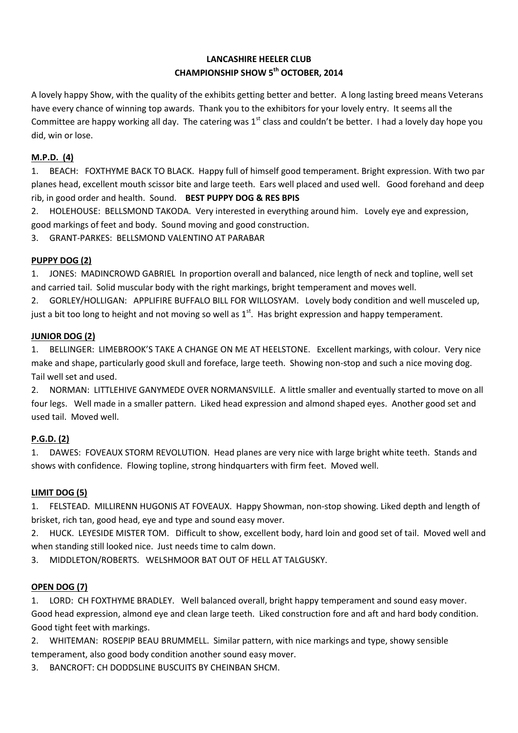# **LANCASHIRE HEELER CLUB CHAMPIONSHIP SHOW 5th OCTOBER, 2014**

A lovely happy Show, with the quality of the exhibits getting better and better. A long lasting breed means Veterans have every chance of winning top awards. Thank you to the exhibitors for your lovely entry. It seems all the Committee are happy working all day. The catering was  $1^{st}$  class and couldn't be better. I had a lovely day hope you did, win or lose.

## **M.P.D. (4)**

1. BEACH: FOXTHYME BACK TO BLACK. Happy full of himself good temperament. Bright expression. With two par planes head, excellent mouth scissor bite and large teeth. Ears well placed and used well. Good forehand and deep rib, in good order and health. Sound. **BEST PUPPY DOG & RES BPIS**

2. HOLEHOUSE: BELLSMOND TAKODA. Very interested in everything around him. Lovely eye and expression, good markings of feet and body. Sound moving and good construction.

3. GRANT-PARKES: BELLSMOND VALENTINO AT PARABAR

### **PUPPY DOG (2)**

1. JONES: MADINCROWD GABRIEL In proportion overall and balanced, nice length of neck and topline, well set and carried tail. Solid muscular body with the right markings, bright temperament and moves well.

2. GORLEY/HOLLIGAN: APPLIFIRE BUFFALO BILL FOR WILLOSYAM. Lovely body condition and well musceled up, just a bit too long to height and not moving so well as  $1<sup>st</sup>$ . Has bright expression and happy temperament.

### **JUNIOR DOG (2)**

1. BELLINGER: LIMEBROOK'S TAKE A CHANGE ON ME AT HEELSTONE. Excellent markings, with colour. Very nice make and shape, particularly good skull and foreface, large teeth. Showing non-stop and such a nice moving dog. Tail well set and used.

2. NORMAN: LITTLEHIVE GANYMEDE OVER NORMANSVILLE. A little smaller and eventually started to move on all four legs. Well made in a smaller pattern. Liked head expression and almond shaped eyes. Another good set and used tail. Moved well.

### **P.G.D. (2)**

1. DAWES: FOVEAUX STORM REVOLUTION. Head planes are very nice with large bright white teeth. Stands and shows with confidence. Flowing topline, strong hindquarters with firm feet. Moved well.

### **LIMIT DOG (5)**

1. FELSTEAD. MILLIRENN HUGONIS AT FOVEAUX. Happy Showman, non-stop showing. Liked depth and length of brisket, rich tan, good head, eye and type and sound easy mover.

2. HUCK. LEYESIDE MISTER TOM. Difficult to show, excellent body, hard loin and good set of tail. Moved well and when standing still looked nice. Just needs time to calm down.

3. MIDDLETON/ROBERTS. WELSHMOOR BAT OUT OF HELL AT TALGUSKY.

### **OPEN DOG (7)**

1. LORD: CH FOXTHYME BRADLEY. Well balanced overall, bright happy temperament and sound easy mover. Good head expression, almond eye and clean large teeth. Liked construction fore and aft and hard body condition. Good tight feet with markings.

2. WHITEMAN: ROSEPIP BEAU BRUMMELL. Similar pattern, with nice markings and type, showy sensible

- temperament, also good body condition another sound easy mover.
- 3. BANCROFT: CH DODDSLINE BUSCUITS BY CHEINBAN SHCM.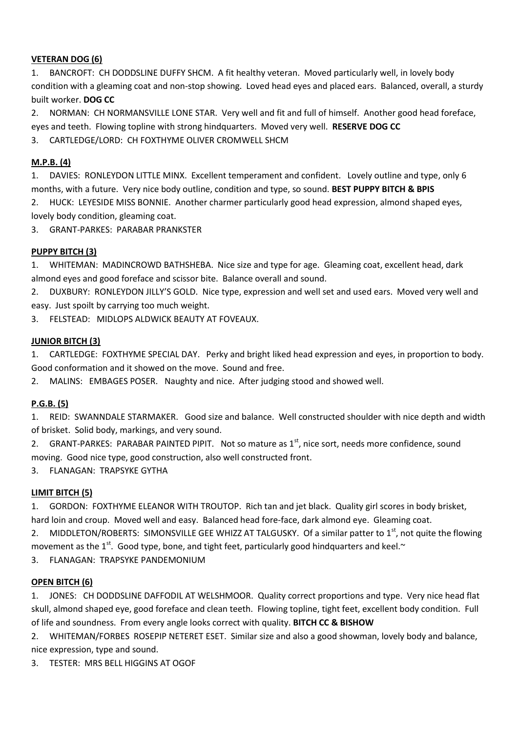### **VETERAN DOG (6)**

1. BANCROFT: CH DODDSLINE DUFFY SHCM. A fit healthy veteran. Moved particularly well, in lovely body condition with a gleaming coat and non-stop showing. Loved head eyes and placed ears. Balanced, overall, a sturdy built worker. **DOG CC**

2. NORMAN: CH NORMANSVILLE LONE STAR. Very well and fit and full of himself. Another good head foreface, eyes and teeth. Flowing topline with strong hindquarters. Moved very well. **RESERVE DOG CC**

3. CARTLEDGE/LORD: CH FOXTHYME OLIVER CROMWELL SHCM

### **M.P.B. (4)**

1. DAVIES: RONLEYDON LITTLE MINX. Excellent temperament and confident. Lovely outline and type, only 6 months, with a future. Very nice body outline, condition and type, so sound. **BEST PUPPY BITCH & BPIS**

2. HUCK: LEYESIDE MISS BONNIE. Another charmer particularly good head expression, almond shaped eyes, lovely body condition, gleaming coat.

3. GRANT-PARKES: PARABAR PRANKSTER

### **PUPPY BITCH (3)**

1. WHITEMAN: MADINCROWD BATHSHEBA. Nice size and type for age. Gleaming coat, excellent head, dark almond eyes and good foreface and scissor bite. Balance overall and sound.

2. DUXBURY: RONLEYDON JILLY'S GOLD. Nice type, expression and well set and used ears. Moved very well and easy. Just spoilt by carrying too much weight.

3. FELSTEAD: MIDLOPS ALDWICK BEAUTY AT FOVEAUX.

### **JUNIOR BITCH (3)**

1. CARTLEDGE: FOXTHYME SPECIAL DAY. Perky and bright liked head expression and eyes, in proportion to body. Good conformation and it showed on the move. Sound and free.

2. MALINS: EMBAGES POSER. Naughty and nice. After judging stood and showed well.

## **P.G.B. (5)**

1. REID: SWANNDALE STARMAKER. Good size and balance. Well constructed shoulder with nice depth and width of brisket. Solid body, markings, and very sound.

2. GRANT-PARKES: PARABAR PAINTED PIPIT. Not so mature as 1<sup>st</sup>, nice sort, needs more confidence, sound moving. Good nice type, good construction, also well constructed front.

3. FLANAGAN: TRAPSYKE GYTHA

### **LIMIT BITCH (5)**

1. GORDON: FOXTHYME ELEANOR WITH TROUTOP. Rich tan and jet black. Quality girl scores in body brisket, hard loin and croup. Moved well and easy. Balanced head fore-face, dark almond eye. Gleaming coat.

2. MIDDLETON/ROBERTS: SIMONSVILLE GEE WHIZZ AT TALGUSKY. Of a similar patter to 1<sup>st</sup>, not quite the flowing movement as the  $1^{st}$ . Good type, bone, and tight feet, particularly good hindquarters and keel. $\sim$ 

3. FLANAGAN: TRAPSYKE PANDEMONIUM

### **OPEN BITCH (6)**

1. JONES: CH DODDSLINE DAFFODIL AT WELSHMOOR. Quality correct proportions and type. Very nice head flat skull, almond shaped eye, good foreface and clean teeth. Flowing topline, tight feet, excellent body condition. Full of life and soundness. From every angle looks correct with quality. **BITCH CC & BISHOW**

2. WHITEMAN/FORBES ROSEPIP NETERET ESET. Similar size and also a good showman, lovely body and balance, nice expression, type and sound.

3. TESTER: MRS BELL HIGGINS AT OGOF